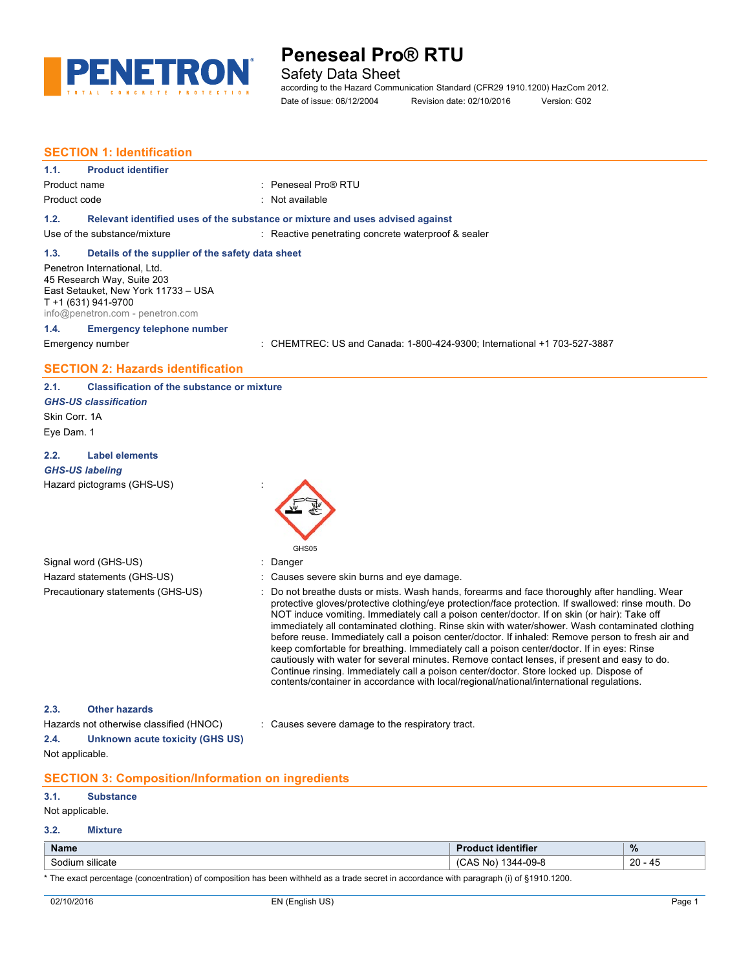

## Safety Data Sheet

according to the Hazard Communication Standard (CFR29 1910.1200) HazCom 2012. Date of issue: 06/12/2004 Revision date: 02/10/2016 Version: G02

## **SECTION 1: Identification**

#### **1.1. Product identifier**

## Product name : Peneseal Pro® RTU Product code : Not available

## **1.2. Relevant identified uses of the substance or mixture and uses advised against**

Use of the substance/mixture in the substance of the substance waterproof & sealer

### **1.3. Details of the supplier of the safety data sheet**

Penetron International, Ltd. 45 Research Way, Suite 203 East Setauket, New York 11733 – USA T +1 (631) 941-9700 info@penetron.com - [penetron.com](http://www.penetron.com)

## **1.4. Emergency telephone number**

Emergency number : CHEMTREC: US and Canada: 1-800-424-9300; International +1 703-527-3887

## **SECTION 2: Hazards identification**

#### **2.1. Classification of the substance or mixture** *GHS-US classification*

Skin Corr. 1A Eye Dam. 1

### **2.2. Label elements**

## *GHS-US labeling* Hazard pictograms (GHS-US) :

Signal word (GHS-US) in the state of the Signal word (GHS-US) in the state of the Signal state of the Signal Signal Signal Signal Signal Signal Signal Signal Signal Signal Signal Signal Signal Signal Signal Signal Signal S



- 
- Hazard statements (GHS-US) : Causes severe skin burns and eye damage.
- Precautionary statements (GHS-US) : Do not breathe dusts or mists. Wash hands, forearms and face thoroughly after handling. Wear protective gloves/protective clothing/eye protection/face protection. If swallowed: rinse mouth. Do NOT induce vomiting. Immediately call a poison center/doctor. If on skin (or hair): Take off immediately all contaminated clothing. Rinse skin with water/shower. Wash contaminated clothing before reuse. Immediately call a poison center/doctor. If inhaled: Remove person to fresh air and keep comfortable for breathing. Immediately call a poison center/doctor. If in eyes: Rinse cautiously with water for several minutes. Remove contact lenses, if present and easy to do. Continue rinsing. Immediately call a poison center/doctor. Store locked up. Dispose of contents/container in accordance with local/regional/national/international regulations.

## **2.3. Other hazards**

**2.4. Unknown acute toxicity (GHS US)** Not applicable.

Hazards not otherwise classified (HNOC) : Causes severe damage to the respiratory tract.

## **SECTION 3: Composition/Information on ingredients**

#### **3.1. Substance**

Not applicable.

#### **3.2. Mixture**

| <b>Name</b>                                          | $- - -$<br>.ntitier                    | $\frac{9}{6}$<br>$ -$              |
|------------------------------------------------------|----------------------------------------|------------------------------------|
| $\sim$ $\sim$ $\sim$<br>. .<br>silicate<br>munt<br>. | 09-8<br>N0<br>$\sqrt{ }$<br>37171<br>س | $\sim$<br>. .<br>᠇◡<br>∼<br>$\sim$ |

\* The exact percentage (concentration) of composition has been withheld as a trade secret in accordance with paragraph (i) of §1910.1200.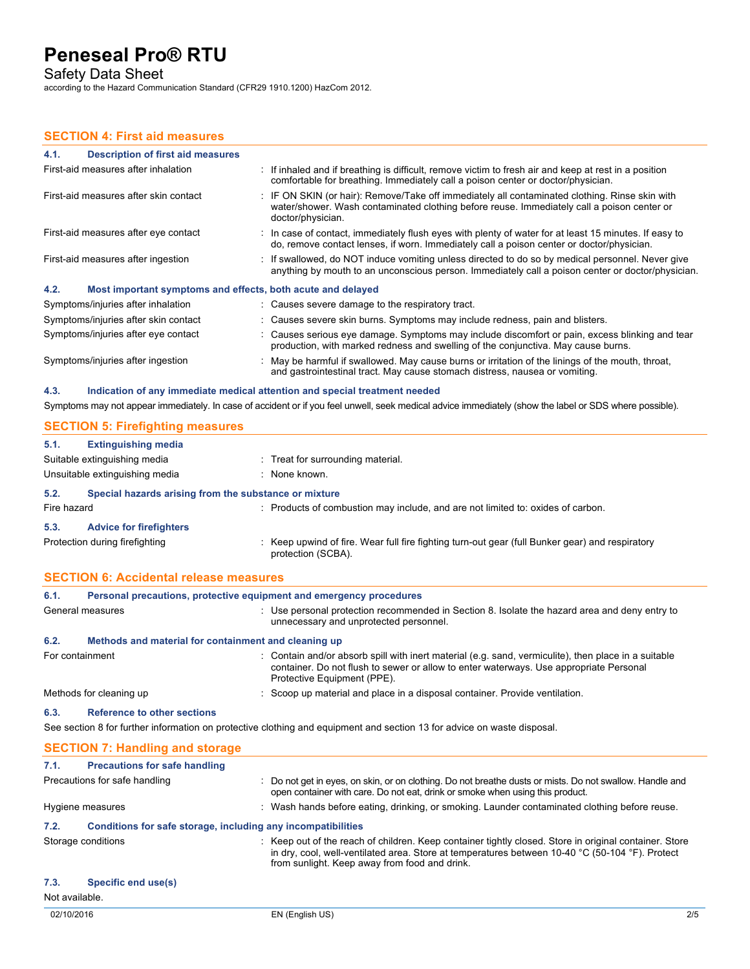Safety Data Sheet

according to the Hazard Communication Standard (CFR29 1910.1200) HazCom 2012.

## **SECTION 4: First aid measures**

| 4.1.<br>Description of first aid measures                           |                                                                                                                                                                                                                   |
|---------------------------------------------------------------------|-------------------------------------------------------------------------------------------------------------------------------------------------------------------------------------------------------------------|
| First-aid measures after inhalation                                 | If inhaled and if breathing is difficult, remove victim to fresh air and keep at rest in a position<br>comfortable for breathing. Immediately call a poison center or doctor/physician.                           |
| First-aid measures after skin contact                               | : IF ON SKIN (or hair): Remove/Take off immediately all contaminated clothing. Rinse skin with<br>water/shower. Wash contaminated clothing before reuse. Immediately call a poison center or<br>doctor/physician. |
| First-aid measures after eye contact                                | : In case of contact, immediately flush eyes with plenty of water for at least 15 minutes. If easy to<br>do, remove contact lenses, if worn. Immediately call a poison center or doctor/physician.                |
| First-aid measures after ingestion                                  | : If swallowed, do NOT induce vomiting unless directed to do so by medical personnel. Never give<br>anything by mouth to an unconscious person. Immediately call a poison center or doctor/physician.             |
| 4.2.<br>Most important symptoms and effects, both acute and delayed |                                                                                                                                                                                                                   |
| Symptoms/injuries after inhalation                                  | : Causes severe damage to the respiratory tract.                                                                                                                                                                  |
| Symptoms/injuries after skin contact                                | : Causes severe skin burns. Symptoms may include redness, pain and blisters.                                                                                                                                      |
| Symptoms/injuries after eye contact                                 | : Causes serious eye damage. Symptoms may include discomfort or pain, excess blinking and tear<br>production, with marked redness and swelling of the conjunctiva. May cause burns.                               |
| Symptoms/injuries after ingestion                                   | : May be harmful if swallowed. May cause burns or irritation of the linings of the mouth, throat,<br>and gastrointestinal tract. May cause stomach distress, nausea or vomiting.                                  |

**4.3. Indication of any immediate medical attention and special treatment needed** Symptoms may not appear immediately. In case of accident or if you feel unwell, seek medical advice immediately (show the label or SDS where possible).

|             | <b>SECTION 5: Firefighting measures</b>               |                                                                                                                       |  |
|-------------|-------------------------------------------------------|-----------------------------------------------------------------------------------------------------------------------|--|
| 5.1.        | <b>Extinguishing media</b>                            |                                                                                                                       |  |
|             | Suitable extinguishing media                          | : Treat for surrounding material.                                                                                     |  |
|             | Unsuitable extinguishing media                        | : None known.                                                                                                         |  |
| 5.2.        | Special hazards arising from the substance or mixture |                                                                                                                       |  |
| Fire hazard |                                                       | : Products of combustion may include, and are not limited to: oxides of carbon.                                       |  |
| 5.3.        | <b>Advice for firefighters</b>                        |                                                                                                                       |  |
|             | Protection during firefighting                        | : Keep upwind of fire. Wear full fire fighting turn-out gear (full Bunker gear) and respiratory<br>protection (SCBA). |  |

|  |  | <b>SECTION 6: Accidental release measures</b> |
|--|--|-----------------------------------------------|
|--|--|-----------------------------------------------|

| 6.1.             | Personal precautions, protective equipment and emergency procedures |                                                                                                                                                                                                                                                                              |  |
|------------------|---------------------------------------------------------------------|------------------------------------------------------------------------------------------------------------------------------------------------------------------------------------------------------------------------------------------------------------------------------|--|
| General measures |                                                                     | : Use personal protection recommended in Section 8. Isolate the hazard area and deny entry to<br>unnecessary and unprotected personnel.                                                                                                                                      |  |
| 6.2.             | Methods and material for containment and cleaning up                |                                                                                                                                                                                                                                                                              |  |
| For containment  |                                                                     | : Contain and/or absorb spill with inert material (e.g. sand, vermiculite), then place in a suitable<br>container. Do not flush to sewer or allow to enter waterways. Use appropriate Personal<br>Protective Equipment (PPE).                                                |  |
|                  | Methods for cleaning up                                             | : Scoop up material and place in a disposal container. Provide ventilation.                                                                                                                                                                                                  |  |
| 6.3.             | <b>Reference to other sections</b>                                  |                                                                                                                                                                                                                                                                              |  |
|                  |                                                                     | See section 8 for further information on protective clothing and equipment and section 13 for advice on waste disposal.                                                                                                                                                      |  |
|                  | <b>SECTION 7: Handling and storage</b>                              |                                                                                                                                                                                                                                                                              |  |
| 7.1.             | <b>Precautions for safe handling</b>                                |                                                                                                                                                                                                                                                                              |  |
|                  | Precautions for safe handling                                       | : Do not get in eyes, on skin, or on clothing. Do not breathe dusts or mists. Do not swallow. Handle and<br>open container with care. Do not eat, drink or smoke when using this product.                                                                                    |  |
|                  | Hygiene measures                                                    | : Wash hands before eating, drinking, or smoking. Launder contaminated clothing before reuse.                                                                                                                                                                                |  |
| 7.2.             | Conditions for safe storage, including any incompatibilities        |                                                                                                                                                                                                                                                                              |  |
|                  | Storage conditions                                                  | : Keep out of the reach of children. Keep container tightly closed. Store in original container. Store<br>in dry, cool, well-ventilated area. Store at temperatures between 10-40 $\degree$ C (50-104 $\degree$ F). Protect<br>from sunlight. Keep away from food and drink. |  |
| 7.3.             | Specific end use(s)                                                 |                                                                                                                                                                                                                                                                              |  |
| Not available.   |                                                                     |                                                                                                                                                                                                                                                                              |  |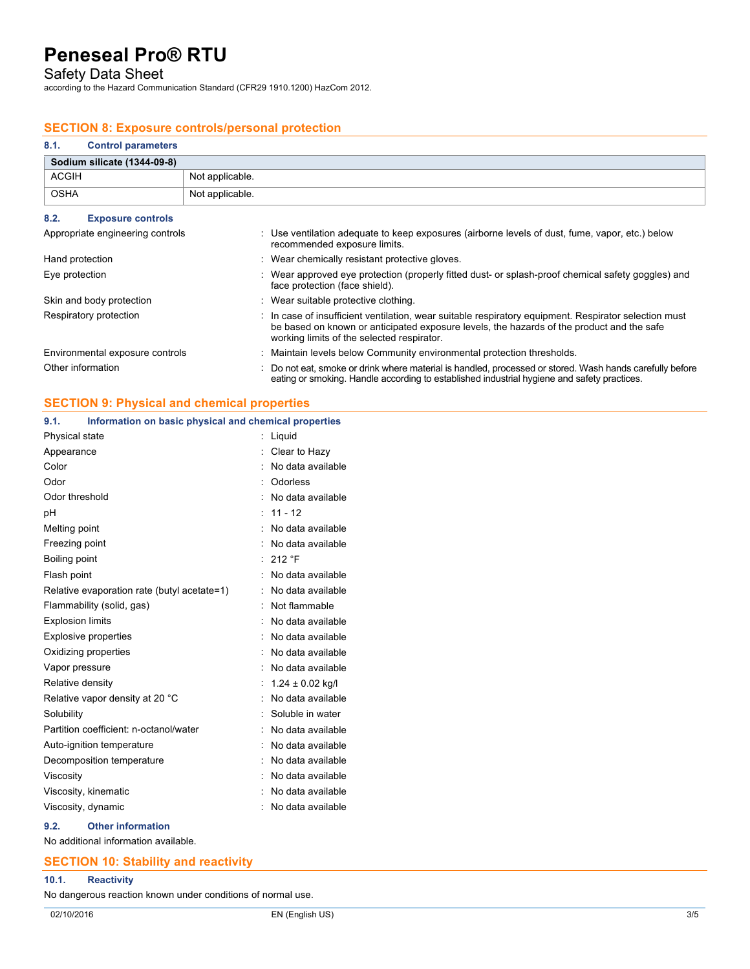Safety Data Sheet

according to the Hazard Communication Standard (CFR29 1910.1200) HazCom 2012.

## **SECTION 8: Exposure controls/personal protection**

| 8.1.        | <b>Control parameters</b>   |                 |
|-------------|-----------------------------|-----------------|
|             | Sodium silicate (1344-09-8) |                 |
| ACGIH       |                             | Not applicable. |
| <b>OSHA</b> |                             | Not applicable. |

| 8.2.<br><b>Exposure controls</b> |                                                                                                                                                                                                                                                  |
|----------------------------------|--------------------------------------------------------------------------------------------------------------------------------------------------------------------------------------------------------------------------------------------------|
| Appropriate engineering controls | : Use ventilation adequate to keep exposures (airborne levels of dust, fume, vapor, etc.) below<br>recommended exposure limits.                                                                                                                  |
| Hand protection                  | : Wear chemically resistant protective gloves.                                                                                                                                                                                                   |
| Eye protection                   | : Wear approved eye protection (properly fitted dust- or splash-proof chemical safety goggles) and<br>face protection (face shield).                                                                                                             |
| Skin and body protection         | : Wear suitable protective clothing.                                                                                                                                                                                                             |
| Respiratory protection           | : In case of insufficient ventilation, wear suitable respiratory equipment. Respirator selection must<br>be based on known or anticipated exposure levels, the hazards of the product and the safe<br>working limits of the selected respirator. |
| Environmental exposure controls  | : Maintain levels below Community environmental protection thresholds.                                                                                                                                                                           |
| Other information                | : Do not eat, smoke or drink where material is handled, processed or stored. Wash hands carefully before<br>eating or smoking. Handle according to established industrial hygiene and safety practices.                                          |

## **SECTION 9: Physical and chemical properties**

## **9.1. Information on basic physical and chemical properties** Physical state : Liquid Appearance : Clear to Hazy Color : No data available Odor : Odorless Odor threshold : No data available pH : 11 - 12 Melting point **in the case of the case of the case of the case of the case of the case of the case of the case of the case of the case of the case of the case of the case of the case of the case of the case of the case of** Freezing point **in the case of the Contract Contract Contract Contract Contract Contract Contract Contract Contract Contract Contract Contract Contract Contract Contract Contract Contract Contract Contract Contract Contrac** Boiling point : 212 °F Flash point **in the case of the case of the case of the case of the case of the case of the case of the case of the case of the case of the case of the case of the case of the case of the case of the case of the case of th** Relative evaporation rate (butyl acetate=1) : No data available Flammability (solid, gas) : Not flammable Explosion limits **Explosion** limits **Explosion** limits **Explosion** in Modata available Explosive properties in the set of the set of the set of the set of the set of the set of the set of the set of the set of the set of the set of the set of the set of the set of the set of the set of the set of the set of Oxidizing properties **in the Contract of Contract August** 2012 : No data available Vapor pressure in the set of the set of the set of the Vapor pressure in the value of the Vapor set of the Vapor S Relative density  $\cdot$  1.24 ± 0.02 kg/l Relative vapor density at 20 °C : No data available Solubility : Soluble in water Partition coefficient: n-octanol/water : No data available Auto-ignition temperature **interest and the Contract Auto-** : No data available Decomposition temperature : No data available Viscosity : No data available Viscosity, kinematic **intervalse in the Contract Contract Contract Contract Contract Contract Contract Contract Contract Contract Contract Contract Contract Contract Contract Contract Contract Contract Contract Contract Co** Viscosity, dynamic **intervalse in the Contract of Contract Available** : No data available

#### **9.2. Other information**

No additional information available.

## **SECTION 10: Stability and reactivity**

## **10.1. Reactivity**

No dangerous reaction known under conditions of normal use.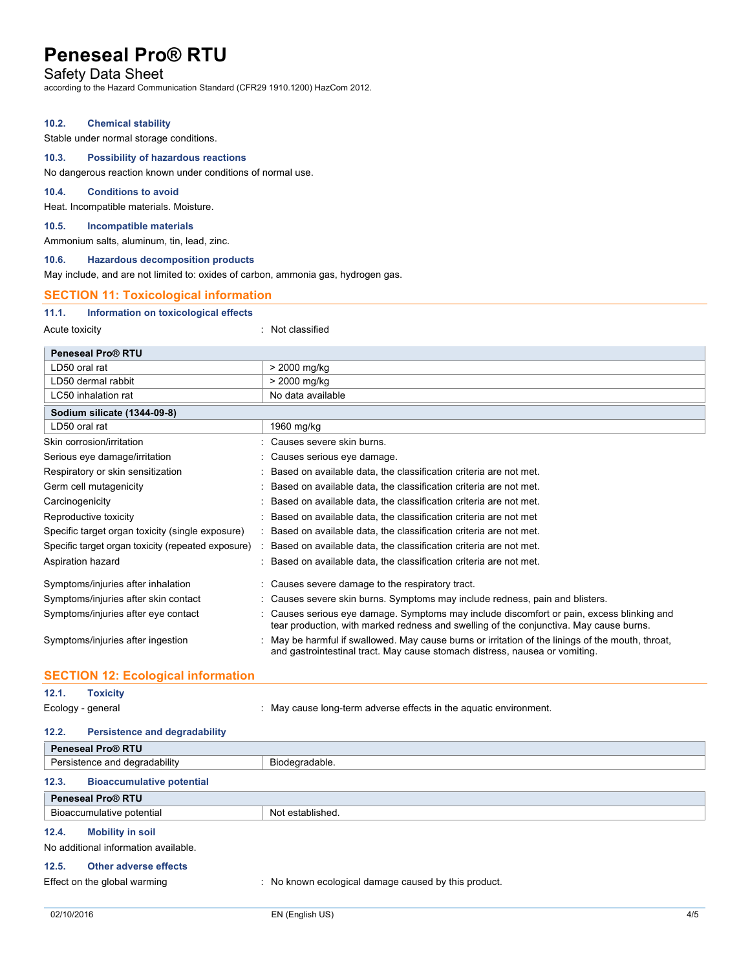## Safety Data Sheet

according to the Hazard Communication Standard (CFR29 1910.1200) HazCom 2012.

#### **10.2. Chemical stability**

Stable under normal storage conditions.

#### **10.3. Possibility of hazardous reactions**

No dangerous reaction known under conditions of normal use.

### **10.4. Conditions to avoid**

Heat. Incompatible materials. Moisture.

#### **10.5. Incompatible materials**

Ammonium salts, aluminum, tin, lead, zinc.

#### **10.6. Hazardous decomposition products**

May include, and are not limited to: oxides of carbon, ammonia gas, hydrogen gas.

## **SECTION 11: Toxicological information**

#### **11.1. Information on toxicological effects**

Acute toxicity in the classified in the classified in the classified in the classified in the classified in the classified in the classified in the classified in the classified in the classified in the classified in the cl

| <b>Peneseal Pro® RTU</b>                           |                                                                                                                                                                                     |
|----------------------------------------------------|-------------------------------------------------------------------------------------------------------------------------------------------------------------------------------------|
| LD50 oral rat                                      | > 2000 mg/kg                                                                                                                                                                        |
| LD50 dermal rabbit                                 | > 2000 mg/kg                                                                                                                                                                        |
| LC50 inhalation rat                                | No data available                                                                                                                                                                   |
| Sodium silicate (1344-09-8)                        |                                                                                                                                                                                     |
| LD50 oral rat                                      | 1960 mg/kg                                                                                                                                                                          |
| Skin corrosion/irritation                          | : Causes severe skin burns.                                                                                                                                                         |
| Serious eye damage/irritation                      | : Causes serious eye damage.                                                                                                                                                        |
| Respiratory or skin sensitization                  | : Based on available data, the classification criteria are not met.                                                                                                                 |
| Germ cell mutagenicity                             | : Based on available data, the classification criteria are not met.                                                                                                                 |
| Carcinogenicity                                    | : Based on available data, the classification criteria are not met.                                                                                                                 |
| Reproductive toxicity                              | : Based on available data, the classification criteria are not met                                                                                                                  |
| Specific target organ toxicity (single exposure)   | : Based on available data, the classification criteria are not met.                                                                                                                 |
| Specific target organ toxicity (repeated exposure) | : Based on available data, the classification criteria are not met.                                                                                                                 |
| Aspiration hazard                                  | : Based on available data, the classification criteria are not met.                                                                                                                 |
| Symptoms/injuries after inhalation                 | : Causes severe damage to the respiratory tract.                                                                                                                                    |
| Symptoms/injuries after skin contact               | : Causes severe skin burns. Symptoms may include redness, pain and blisters.                                                                                                        |
| Symptoms/injuries after eye contact                | : Causes serious eye damage. Symptoms may include discomfort or pain, excess blinking and<br>tear production, with marked redness and swelling of the conjunctiva. May cause burns. |
| Symptoms/injuries after ingestion                  | May be harmful if swallowed. May cause burns or irritation of the linings of the mouth, throat,<br>and gastrointestinal tract. May cause stomach distress, nausea or vomiting.      |

### **SECTION 12: Ecological information**

## **12.1. Toxicity**

Ecology - general **Ecology** - general in the aquatic environment.

#### **12.2. Persistence and degradability**

| <b>Peneseal Pro® RTU</b>                      |                |  |
|-----------------------------------------------|----------------|--|
| Persistence and degradability                 | Biodegradable. |  |
| <b>Bioaccumulative potential</b><br>12.3.     |                |  |
| <b>Peneseal Pro® RTU</b>                      |                |  |
| Bioaccumulative potential<br>Not established. |                |  |
| 12.4.<br><b>Mobility in soil</b>              |                |  |

No additional information available.

## **12.5. Other adverse effects**

Effect on the global warming : No known ecological damage caused by this product.